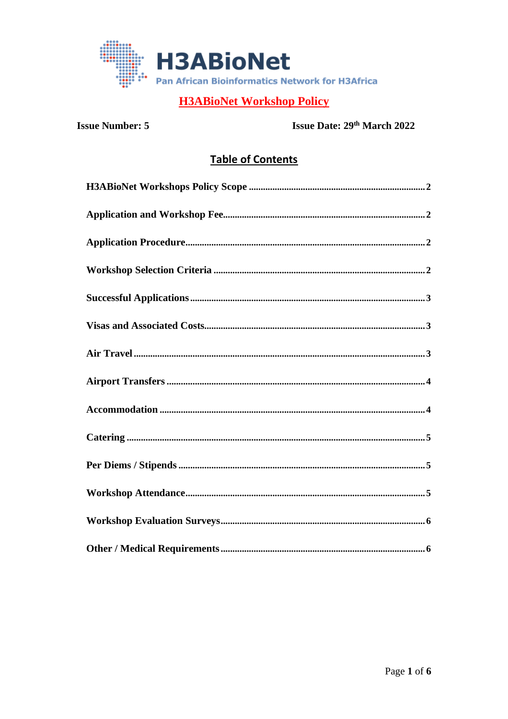

**Issue Number: 5** 

Issue Date: 29th March 2022

# **Table of Contents**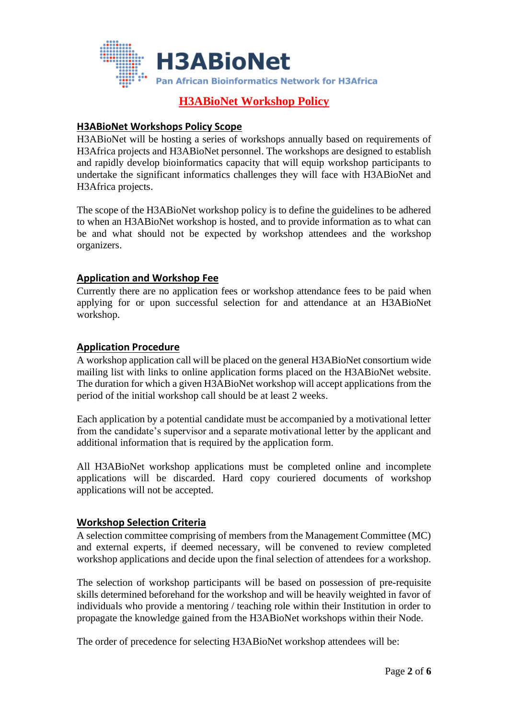

#### <span id="page-1-0"></span>**H3ABioNet Workshops Policy Scope**

H3ABioNet will be hosting a series of workshops annually based on requirements of H3Africa projects and H3ABioNet personnel. The workshops are designed to establish and rapidly develop bioinformatics capacity that will equip workshop participants to undertake the significant informatics challenges they will face with H3ABioNet and H3Africa projects.

The scope of the H3ABioNet workshop policy is to define the guidelines to be adhered to when an H3ABioNet workshop is hosted, and to provide information as to what can be and what should not be expected by workshop attendees and the workshop organizers.

#### <span id="page-1-1"></span>**Application and Workshop Fee**

Currently there are no application fees or workshop attendance fees to be paid when applying for or upon successful selection for and attendance at an H3ABioNet workshop.

#### <span id="page-1-2"></span>**Application Procedure**

A workshop application call will be placed on the general H3ABioNet consortium wide mailing list with links to online application forms placed on the H3ABioNet website. The duration for which a given H3ABioNet workshop will accept applications from the period of the initial workshop call should be at least 2 weeks.

Each application by a potential candidate must be accompanied by a motivational letter from the candidate's supervisor and a separate motivational letter by the applicant and additional information that is required by the application form.

All H3ABioNet workshop applications must be completed online and incomplete applications will be discarded. Hard copy couriered documents of workshop applications will not be accepted.

#### <span id="page-1-3"></span>**Workshop Selection Criteria**

A selection committee comprising of members from the Management Committee (MC) and external experts, if deemed necessary, will be convened to review completed workshop applications and decide upon the final selection of attendees for a workshop.

The selection of workshop participants will be based on possession of pre-requisite skills determined beforehand for the workshop and will be heavily weighted in favor of individuals who provide a mentoring / teaching role within their Institution in order to propagate the knowledge gained from the H3ABioNet workshops within their Node.

The order of precedence for selecting H3ABioNet workshop attendees will be: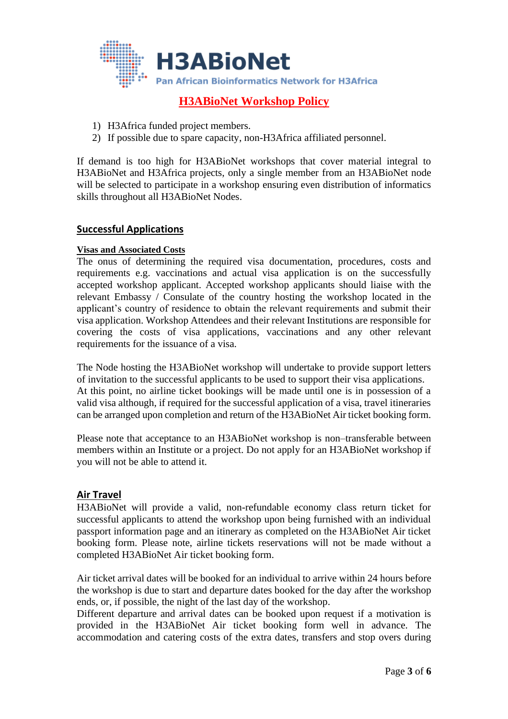

- 1) H3Africa funded project members.
- 2) If possible due to spare capacity, non-H3Africa affiliated personnel.

If demand is too high for H3ABioNet workshops that cover material integral to H3ABioNet and H3Africa projects, only a single member from an H3ABioNet node will be selected to participate in a workshop ensuring even distribution of informatics skills throughout all H3ABioNet Nodes.

#### <span id="page-2-0"></span>**Successful Applications**

#### <span id="page-2-1"></span>**Visas and Associated Costs**

The onus of determining the required visa documentation, procedures, costs and requirements e.g. vaccinations and actual visa application is on the successfully accepted workshop applicant. Accepted workshop applicants should liaise with the relevant Embassy / Consulate of the country hosting the workshop located in the applicant's country of residence to obtain the relevant requirements and submit their visa application. Workshop Attendees and their relevant Institutions are responsible for covering the costs of visa applications, vaccinations and any other relevant requirements for the issuance of a visa.

The Node hosting the H3ABioNet workshop will undertake to provide support letters of invitation to the successful applicants to be used to support their visa applications. At this point, no airline ticket bookings will be made until one is in possession of a valid visa although, if required for the successful application of a visa, travel itineraries can be arranged upon completion and return of the H3ABioNet Air ticket booking form.

Please note that acceptance to an H3ABioNet workshop is non–transferable between members within an Institute or a project. Do not apply for an H3ABioNet workshop if you will not be able to attend it.

#### <span id="page-2-2"></span>**Air Travel**

H3ABioNet will provide a valid, non-refundable economy class return ticket for successful applicants to attend the workshop upon being furnished with an individual passport information page and an itinerary as completed on the H3ABioNet Air ticket booking form. Please note, airline tickets reservations will not be made without a completed H3ABioNet Air ticket booking form.

Air ticket arrival dates will be booked for an individual to arrive within 24 hours before the workshop is due to start and departure dates booked for the day after the workshop ends, or, if possible, the night of the last day of the workshop.

Different departure and arrival dates can be booked upon request if a motivation is provided in the H3ABioNet Air ticket booking form well in advance. The accommodation and catering costs of the extra dates, transfers and stop overs during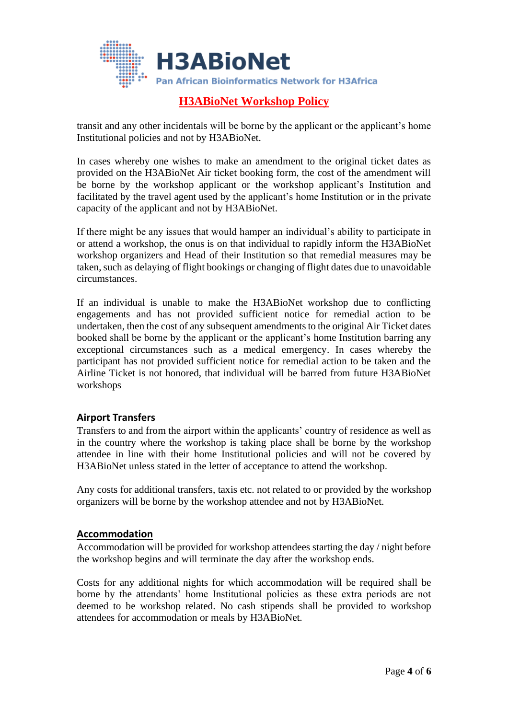

transit and any other incidentals will be borne by the applicant or the applicant's home Institutional policies and not by H3ABioNet.

In cases whereby one wishes to make an amendment to the original ticket dates as provided on the H3ABioNet Air ticket booking form, the cost of the amendment will be borne by the workshop applicant or the workshop applicant's Institution and facilitated by the travel agent used by the applicant's home Institution or in the private capacity of the applicant and not by H3ABioNet.

If there might be any issues that would hamper an individual's ability to participate in or attend a workshop, the onus is on that individual to rapidly inform the H3ABioNet workshop organizers and Head of their Institution so that remedial measures may be taken, such as delaying of flight bookings or changing of flight dates due to unavoidable circumstances.

If an individual is unable to make the H3ABioNet workshop due to conflicting engagements and has not provided sufficient notice for remedial action to be undertaken, then the cost of any subsequent amendments to the original Air Ticket dates booked shall be borne by the applicant or the applicant's home Institution barring any exceptional circumstances such as a medical emergency. In cases whereby the participant has not provided sufficient notice for remedial action to be taken and the Airline Ticket is not honored, that individual will be barred from future H3ABioNet workshops

#### <span id="page-3-0"></span>**Airport Transfers**

Transfers to and from the airport within the applicants' country of residence as well as in the country where the workshop is taking place shall be borne by the workshop attendee in line with their home Institutional policies and will not be covered by H3ABioNet unless stated in the letter of acceptance to attend the workshop.

Any costs for additional transfers, taxis etc. not related to or provided by the workshop organizers will be borne by the workshop attendee and not by H3ABioNet.

#### <span id="page-3-1"></span>**Accommodation**

Accommodation will be provided for workshop attendees starting the day / night before the workshop begins and will terminate the day after the workshop ends.

Costs for any additional nights for which accommodation will be required shall be borne by the attendants' home Institutional policies as these extra periods are not deemed to be workshop related. No cash stipends shall be provided to workshop attendees for accommodation or meals by H3ABioNet.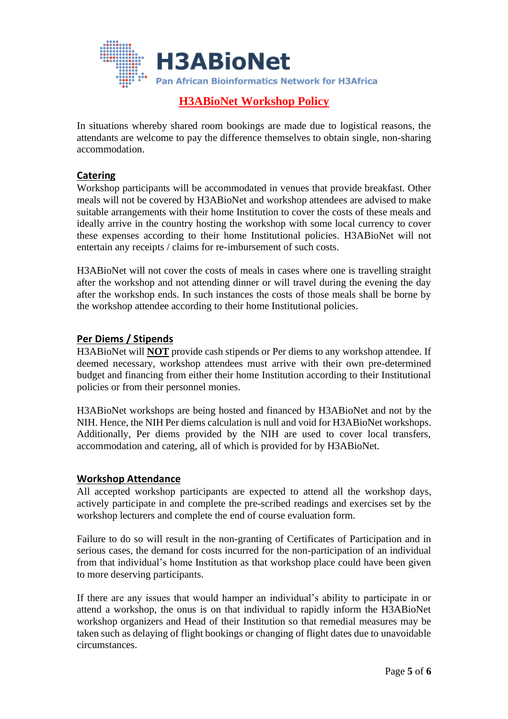

In situations whereby shared room bookings are made due to logistical reasons, the attendants are welcome to pay the difference themselves to obtain single, non-sharing accommodation.

#### <span id="page-4-0"></span>**Catering**

Workshop participants will be accommodated in venues that provide breakfast. Other meals will not be covered by H3ABioNet and workshop attendees are advised to make suitable arrangements with their home Institution to cover the costs of these meals and ideally arrive in the country hosting the workshop with some local currency to cover these expenses according to their home Institutional policies. H3ABioNet will not entertain any receipts / claims for re-imbursement of such costs.

H3ABioNet will not cover the costs of meals in cases where one is travelling straight after the workshop and not attending dinner or will travel during the evening the day after the workshop ends. In such instances the costs of those meals shall be borne by the workshop attendee according to their home Institutional policies.

#### <span id="page-4-1"></span>**Per Diems / Stipends**

H3ABioNet will **NOT** provide cash stipends or Per diems to any workshop attendee. If deemed necessary, workshop attendees must arrive with their own pre-determined budget and financing from either their home Institution according to their Institutional policies or from their personnel monies.

H3ABioNet workshops are being hosted and financed by H3ABioNet and not by the NIH. Hence, the NIH Per diems calculation is null and void for H3ABioNet workshops. Additionally, Per diems provided by the NIH are used to cover local transfers, accommodation and catering, all of which is provided for by H3ABioNet.

#### <span id="page-4-2"></span>**Workshop Attendance**

All accepted workshop participants are expected to attend all the workshop days, actively participate in and complete the pre-scribed readings and exercises set by the workshop lecturers and complete the end of course evaluation form.

Failure to do so will result in the non-granting of Certificates of Participation and in serious cases, the demand for costs incurred for the non-participation of an individual from that individual's home Institution as that workshop place could have been given to more deserving participants.

If there are any issues that would hamper an individual's ability to participate in or attend a workshop, the onus is on that individual to rapidly inform the H3ABioNet workshop organizers and Head of their Institution so that remedial measures may be taken such as delaying of flight bookings or changing of flight dates due to unavoidable circumstances.